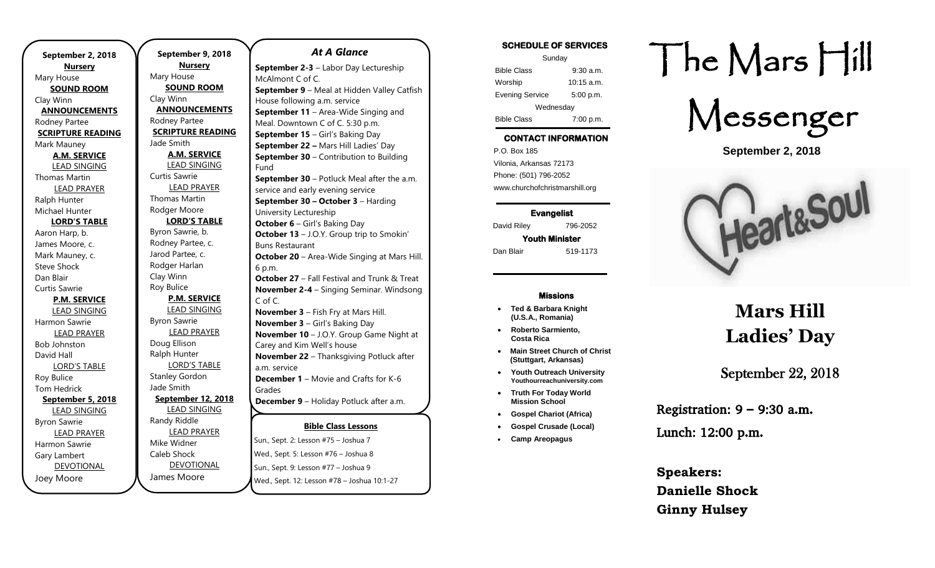**September 2, 2018 Nursery** Mary House **SOUND ROOM** Clay Winn **ANNOUNCEMENTS** Rodney Partee **SCRIPTURE READING** Mark Mauney **A.M. SERVICE** LEAD SINGING Thomas Martin LEAD PRAYER Ralph Hunter Michael Hunter **LORD'S TABLE** Aaron Harp, b. James Moore, c. Mark Mauney, c. Steve Shock Dan Blair Curtis Sawrie **P.M. SERVICE** LEAD SINGING Harmon Sawrie LEAD PRAYER Bob Johnston David Hall LORD'S TABLE Roy Bulice Tom Hedrick **September 5, 2018** LEAD SINGING Byron Sawrie LEAD PRAYER Harmon Sawrie Gary Lambert DEVOTIONAL Joey Moore

**September 9, 2018 Nursery** Mary House **SOUND ROOM** Clay Winn **ANNOUNCEMENTS** Rodney Partee **SCRIPTURE READING** Jade Smith **A.M. SERVICE** LEAD SINGING Curtis Sawrie LEAD PRAYER Thomas Martin Rodger Moore **LORD'S TABLE** Byron Sawrie, b. Rodney Partee, c. Jarod Partee, c. Rodger Harlan Clay Winn Roy Bulice **P.M. SERVICE** LEAD SINGING Byron Sawrie LEAD PRAYER Doug Ellison Ralph Hunter LORD'S TABLE Stanley Gordon Jade Smith **September 12, 2018** LEAD SINGING Randy Riddle LEAD PRAYER Mike Widner Caleb Shock DEVOTIONAL Sun., Sept. 9: Lesson #77 – Joshua 9 Fund

James Moore

# *At A Glance*

**Bible Class Lessons** Sun., Sept. 2: Lesson #75 – Joshua 7 Wed., Sept. 5: Lesson #76 – Joshua 8 **September 2-3** – Labor Day Lectureship McAlmont C of C. **September 9** – Meal at Hidden Valley Catfish House following a.m. service **September 11** – Area-Wide Singing and Meal. Downtown C of C. 5:30 p.m. **September 15** – Girl's Baking Day **September 22 –** Mars Hill Ladies' Day **September 30 – Contribution to Building September 30** – Potluck Meal after the a.m. service and early evening service **September 30 – October 3** – Harding University Lectureship **October 6** – Girl's Baking Day **October 13** – J.O.Y. Group trip to Smokin' Buns Restaurant **October 20** – Area-Wide Singing at Mars Hill. 6 p.m. **October 27** – Fall Festival and Trunk & Treat **November 2-4** – Singing Seminar. Windsong C of C. **November 3** – Fish Fry at Mars Hill. **November 3** – Girl's Baking Day **November 10** – J.O.Y. Group Game Night at Carey and Kim Well's house **November 22** – Thanksgiving Potluck after a.m. service **December 1** – Movie and Crafts for K-6 Grades **December 9** – Holiday Potluck after a.m.  $\overbrace{\phantom{137281}}$ 

Wed., Sept. 12: Lesson #78 – Joshua 10:1-27

#### **SCHEDULE OF SERVICES**

| Sunday                 |              |
|------------------------|--------------|
| <b>Bible Class</b>     | $9:30$ a.m.  |
| Worship                | $10:15$ a.m. |
| <b>Evening Service</b> | 5:00 p.m.    |
| Wednesday              |              |
| <b>Bible Class</b>     | 7:00 p.m.    |

## **CONTACT INFORMATION**

. .o. Box 166<br>Vilonia, Arkansas 72173 P.O. Box 185 Phone: (501) 796-2052 www.churchofchristmarshill.org

**Evangelist**  David Riley 796-2052 **Youth Minister** 

Dan Blair 519-1173

#### **Missions**

- **Ted & Barbara Knight (U.S.A., Romania)**
- **Roberto Sarmiento, Costa Rica**
- **Main Street Church of Christ (Stuttgart, Arkansas)**
- **Youth Outreach University Youthourreachuniversity.com**
- **Truth For Today World Mission School**
- **Gospel Chariot (Africa)**
- **Gospel Crusade (Local)**
- **Camp Areopagus**

# The Mars Hill



**September 2, 2018**



# **Mars Hill Ladies' Day**

# September 22, 2018

Registration: 9 – 9:30 a.m.

Lunch: 12:00 p.m.

**Speakers: Danielle Shock Ginny Hulsey**